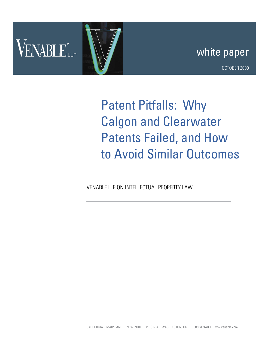

# white paper

OCTOBER 2009

Patent Pitfalls: Why Calgon and Clearwater Patents Failed, and How to Avoid Similar Outcomes

VENABLE LLP ON INTELLECTUAL PROPERTY LAW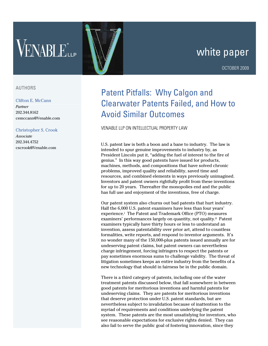# VENABLELLE

# white paper

# AUTHORS

#### Clifton E. McCann

*Partner* 202.344.8162 cemccann@Venable.com

## Christopher S. Crook

*Associate* 202.344.4752 cscrook@Venable.com

# Patent Pitfalls: Why Calgon and Clearwater Patents Failed, and How to Avoid Similar Outcomes

## VENABLE LLP ON INTELLECTUAL PROPERTY LAW

U.S. patent law is both a boon and a bane to industry. The law is intended to spur genuine improvements to industry by, as President Lincoln put it, "adding the fuel of interest to the fire of genius." In this way good patents have issued for products, machines, methods, and compositions that have solved chronic problems, improved quality and reliability, saved time and resources, and combined elements in ways previously unimagined. Inventors and patent owners rightfully profit from these inventions for up to 20 years. Thereafter the monopolies end and the public has full use and enjoyment of the inventions, free of charge.

Our patent system also churns out bad patents that hurt industry. Half the 6,000 U.S. patent examiners have less than four years' experience.i The Patent and Trademark Office (PTO) measures examiners' performances largely on quantity, not quality.ii Patent examiners typically have thirty hours or less to understand an invention, assess patentability over prior art, attend to countless formalities, write reports, and respond to inventor arguments. It's no wonder many of the 150,000-plus patents issued annually are for undeserving patent claims, but patent owners can nevertheless charge infringement, forcing infringers to respect the patents or pay sometimes enormous sums to challenge validity. The threat of litigation sometimes keeps an entire industry from the benefits of a new technology that should in fairness be in the public domain.

There is a third category of patents, including one of the water treatment patents discussed below, that fall somewhere in between good patents for meritorious inventions and harmful patents for undeserving claims. They are patents for meritorious inventions that deserve protection under U.S. patent standards, but are nevertheless subject to invalidation because of inattention to the myriad of requirements and conditions underlying the patent system. These patents are the most unsatisfying for inventors, who see reasonable expectations for exclusive rights denied. They can also fail to serve the public goal of fostering innovation, since they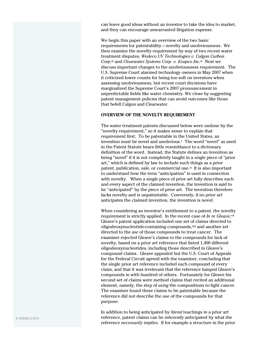can leave good ideas without an investor to take the idea to market, and they can encourage unwarranted litigation expense.

We begin this paper with an overview of the two basic requirements for patentability – novelty and unobviousness. We then examine the novelty requirement by way of two recent water treatment disputes, *Wedeco UV Technologies v. Calgon Carbon Corp.*iii and *Clearwater Systems Corp. v. Evapco Inc*. iv Next we discuss important changes to the unobviousness requirement. The U.S. Supreme Court alarmed technology owners in May 2007 when it criticized lower counts for being too soft on inventors when assessing unobviousness, but recent court decisions have marginalized the Supreme Court's 2007 pronouncement in unpredictable fields like water chemistry. We close by suggesting patent management policies that can avoid outcomes like those that befell Calgon and Clearwater.

#### **OVERVIEW OF THE NOVELTY REQUIREMENT**

The water treatment patents discussed below were undone by the "novelty requirement," so it makes sense to explain that requirement first. To be patentable in the United States, an invention must be novel and unobvious.<sup>v</sup> The word "novel" as used in the Patent Statute bears little resemblance to a dictionary definition of the word. Instead, the Statute defines an invention as being "novel" if it is not completely taught in a *single* piece of "prior art," which is defined by law to include such things as a prior patent, publication, sale, or commercial use.<sup>vi</sup> It is also important to understand how the term "anticipation" is used in connection with novelty. When a single piece of prior art fully describes each and every aspect of the claimed invention, the invention is said to be "anticipated" by the piece of prior art. The invention therefore lacks novelty and is unpatentable. Conversely, if no prior art anticipates the claimed invention, the invention is novel.

When considering an inventor's entitlement to a patent, the novelty requirement is strictly applied. In the recent case of *In re Gleave,*vii Gleave's patent application included one set of claims directed to oligodeoxynucleotide-containing compounds,<sup>viii</sup> and another set directed to the *use* of those compounds to treat cancer. The examiner rejected Gleave's claims to the compounds for lack of novelty, based on a prior art reference that listed 1,400 different oligodeoxynucleotides, including those described in Gleave's compound claims. Gleave appealed but the U.S. Court of Appeals for the Federal Circuit agreed with the examiner, concluding that the single prior art reference included each compound of every claim, and that it was irrelevant that the reference lumped Gleave's compounds in with hundred of others. Fortunately for Gleave his second set of claims were method claims that recited an additional element, namely, the step of *using* the compositions to fight cancer. The examiner found these claims to be patentable because the reference did not describe the use of the compounds for that purpose.

In addition to being anticipated by *literal* teachings in a prior art reference, patent claims can be *inherently* anticipated by what the reference *necessarily implies*. If for example a structure in the prior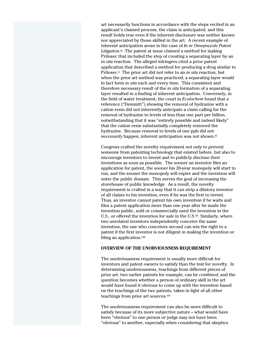art necessarily functions in accordance with the steps recited in an applicant's claimed process, the claim is anticipated, and this result holds true even if the inherent disclosure was neither known nor appreciated by those skilled in the art. A recent example of inherent anticipation arose in the case of *In re Omeprazole Patent*  Litigation.<sup>ix</sup> The patent at issue claimed a method for making Prilosec that included the step of creating a separating layer by an *in situ* reaction. The alleged infringers cited a prior patent application that described a method for producing a drug similar to Prilosec.<sup>x</sup> The prior art did not refer to an *in situ* reaction, but when the prior art method was practiced, a separating layer would in fact form *in situ* each and every time. This consistent and therefore necessary result of the *in situ* formation of a separating layer resulted in a finding of inherent anticipation. Conversely, in the field of water treatment, the court in *Ecolochem* found that a reference ("Demmitt") showing the removal of hydrazine with a cation resin did not inherently anticipate a claim calling for the removal of hydrazine to levels of less than one part per billion, notwithstanding that it was "entirely possible and indeed likely" that the cation resin substantially completely removed the hydrazine. Because removal to levels of one ppb did not *necessarily* happen, inherent anticipation was not shown.<sup>xi</sup>

Congress crafted the novelty requirement not only to prevent someone from patenting technology that existed before, but also to encourage inventors to invent and to publicly disclose their inventions as soon as possible. The sooner an inventor files an application for patent, the sooner his 20-year monopoly will start to run, and the sooner the monopoly will expire and the invention will enter the public domain. This serves the goal of increasing the storehouse of public knowledge. As a result, the novelty requirement is crafted in a way that it can strip a dilatory inventor of all claims to his invention, even if he was the first to invent. Thus, an inventor cannot patent his own invention if he waits and files a patent application more than one year after he made the invention public, sold or commercially used the invention in the U.S., or offered the invention for sale in the U.S.<sup>xii</sup> Similarly, where two unrelated inventors independently conceive the same invention, the one who conceives second can win the right to a patent if the first inventor is not diligent in making the invention or filing an application.xiii

#### **OVERVIEW OF THE UNOBVIOUSNESS REQUIREMENT**

The unobviousness requirement is usually more difficult for inventors and patent owners to satisfy than the test for novelty. In determining unobviousness, teachings from different pieces of prior art, two earlier patents for example, can be *combined*, and the question becomes whether a person of ordinary skill in the art would have found it obvious to come up with the invention based on the teachings of the two patents, taken in light of all other teachings from prior art sources.xiv

The unobviousness requirement can also be more difficult to satisfy because of its more subjective nature – what would have been "obvious" to one person or judge may not have been "obvious" to another, especially when considering that skeptics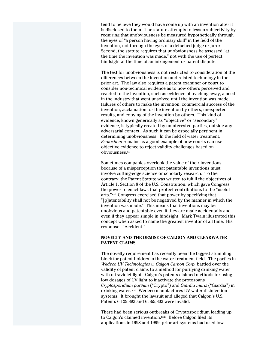tend to believe they would have come up with an invention after it is disclosed to them. The statute attempts to lessen subjectivity by requiring that unobviousness be measured hypothetically through the eyes of "a person having ordinary skill" in the field of the invention, not through the eyes of a detached judge or juror. Second, the statute requires that unobviousness be assessed "at the time the invention was made," not with the use of perfect hindsight at the time of an infringement or patent dispute.

The test for unobviousness is not restricted to consideration of the differences between the invention and related technology in the prior art. The law also requires a patent examiner or court to consider non-technical evidence as to how others perceived and reacted to the invention, such as evidence of teaching away, a need in the industry that went unsolved until the invention was made, failures of others to make the invention, commercial success of the invention, acclamation for the invention by others, unexpected results, and copying of the invention by others. This kind of evidence, known generically as "objective" or "secondary" evidence, is typically created by uninterested parties, outside any adversarial context. As such it can be especially pertinent in determining unobviousness. In the field of water treatment, *Ecolochem* remains as a good example of how courts can use objective evidence to reject validity challenges based on obviousness.xv

Sometimes companies overlook the value of their inventions because of a misperception that patentable inventions must involve cutting-edge science or scholarly research. To the contrary, the Patent Statute was written to fulfill the objectives of Article 1, Section 8 of the U.S. Constitution, which gave Congress the power to enact laws that protect contributions to the "useful arts."xvi Congress exercised that power by specifying that "[p]atentability shall not be negatived by the manner in which the invention was made." This means that inventions may be unobvious and patentable even if they are made accidentally and even if they appear simple in hindsight. Mark Twain illustrated this concept when asked to name the greatest inventor of all time. His response: "Accident."

## **NOVELTY AND THE DEMISE OF CALGON AND CLEARWATER PATENT CLAIMS**

The novelty requirement has recently been the biggest stumbling block for patent holders in the water treatment field. The parties in *Wedeco UV Technologies v. Calgon Carbon Corp.* battled over the validity of patent claims to a method for purifying drinking water with ultraviolet light. Calgon's patents claimed methods for using low dosages of UV light to inactivate the protozoans *Cryptosporidium parvum* ("Crypto") and *Giardia muris* ("Giardia") in drinking water. xvii Wedeco manufactures UV water disinfection systems. It brought the lawsuit and alleged that Calgon's U.S. Patents 6,129,893 and 6,565,803 were invalid.

There had been serious outbreaks of Cryptosporidium leading up to Calgon's claimed invention.xviii Before Calgon filed its applications in 1998 and 1999, prior art systems had used low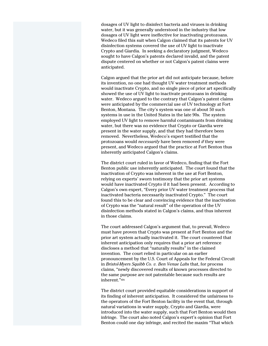dosages of UV light to disinfect bacteria and viruses in drinking water, but it was generally understood in the industry that low dosages of UV light were ineffective for inactivating protozoans. Wedeco filed this suit when Calgon claimed that its patents for UV disinfection systems covered the use of UV light to inactivate Crypto and Giardia. In seeking a declaratory judgment, Wedeco sought to have Calgon's patents declared invalid, and the patent dispute centered on whether or not Calgon's patent claims were anticipated.

Calgon argued that the prior art did not anticipate because, before its invention, no one had thought UV water treatment methods would inactivate Crypto, and no single piece of prior art specifically showed the use of UV light to inactivate protozoans in drinking water. Wedeco argued to the contrary that Calgon's patent claims were anticipated by the commercial use of UV technology at Fort Benton, Montana. The city's system was one of about 50 such systems in use in the United States in the late 90s. The system employed UV light to remove harmful contaminants from drinking water, but there was no evidence that Crypto or Giardia were present in the water supply, and that they had therefore been removed. Nevertheless, Wedeco's expert testified that the protozoans would *necessarily* have been removed *if* they were present, and Wedeco argued that the practice at Fort Benton thus inherently anticipated Calgon's claims.

The district court ruled in favor of Wedeco, finding that the Fort Benton public use inherently anticipated. The court found that the inactivation of Crypto was inherent in the use at Fort Benton, relying on experts' sworn testimony that the prior art systems would have inactivated Crypto if it had been present. According to Calgon's own expert, "Every prior UV water treatment process that inactivated bacteria necessarily inactivated Crypto." The court found this to be clear and convincing evidence that the inactivation of Crypto was the "natural result" of the operation of the UV disinfection methods stated in Calgon's claims, and thus inherent in those claims.

The court addressed Calgon's argument that, to prevail, Wedeco must have proven that Crypto was present at Fort Benton and the prior art system actually inactivated it. The court countered that inherent anticipation only requires that a prior art reference discloses a method that "naturally results" in the claimed invention. The court relied in particular on an earlier pronouncement by the U.S. Court of Appeals for the Federal Circuit in *Bristol-Myers Squibb Co. v. Ben Venue Labs* that, for process claims, "newly discovered results of known processes directed to the same purpose are not patentable because such results are inherent."xix

The district court provided equitable considerations in support of its finding of inherent anticipation. It considered the unfairness to the operators of the Fort Benton facility in the event that, through natural variations in water supply, Crypto and Giardia, were introduced into the water supply, such that Fort Benton would then infringe. The court also noted Calgon's expert's opinion that Fort Benton could one day infringe, and recited the maxim "That which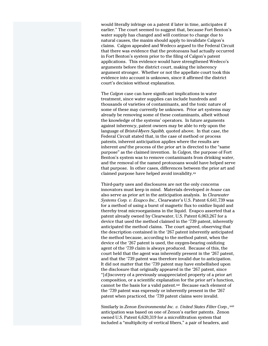would literally infringe on a patent if later in time, anticipates if earlier." The court seemed to suggest that, because Fort Benton's water supply has changed and will continue to change due to natural causes, the maxim should apply to invalidate Calgon's claims. Calgon appealed and Wedeco argued to the Federal Circuit that there was evidence that the protozoans had actually occurred in Fort Benton's system prior to the filing of Calgon's patent applications. This evidence would have strengthened Wedeco's arguments before the district court, making the inherency argument stronger. Whether or not the appellate court took this evidence into account is unknown, since it affirmed the district court's decision without explanation.

The *Calgon* case can have significant implications in water treatment, since water supplies can include hundreds and thousands of varieties of contaminants, and the toxic nature of some of these may currently be unknown. Prior art systems may already be removing some of these contaminants, albeit without the knowledge of the systems' operators. In future arguments against inherency, patent owners may be able to rely upon the language of *Bristol-Myers Squibb,* quoted above. In that case, the Federal Circuit stated that, in the case of method or process patents, inherent anticipation applies where the results are inherent *and* the process of the prior art is directed to the "same purpose" as the claimed invention. In *Calgon,* the purpose of Fort Benton's system was to remove contaminants from drinking water, and the removal of the named protozoans would have helped serve that purpose. In other cases, differences between the prior art and claimed purpose have helped avoid invalidity.xx

Third-party uses and disclosures are not the only concerns innovators must keep in mind. Materials developed *in house* can also serve as prior art in the anticipation analysis. In *Clearwater Systems Corp. v. Evapco Inc.,* Clearwater's U.S. Patent 6,641,739 was for a method of using a burst of magnetic flux to oxidize liquid and thereby treat microorganisms in the liquid. Evapco asserted that a patent already owned by Clearwater, U.S. Patent 6,063,267 for a device that used the method claimed in the '739 patent, inherently anticipated the method claims. The court agreed, observing that the description contained in the '267 patent inherently anticipated the method because, according to the method patent, when the device of the '267 patent is used, the oxygen-bearing oxidizing agent of the '739 claim is always produced. Because of this, the court held that the agent was inherently present in the '267 patent, and that the '739 patent was therefore invalid due to anticipation. It did not matter that the '739 patent may have embellished upon the disclosure that originally appeared in the '267 patent, since "[d]iscovery of a previously unappreciated property of a prior art composition, or a scientific explanation for the prior art's function, cannot be the basis for a valid patent.xxi Because each element of the '739 patent was expressly or inherently present in the '267 patent when practiced, the '739 patent claims were invalid.

Similarly in *Zenon Environmental Inc. v. United States Filter Corp.*, xxii anticipation was based on one of Zenon's earlier patents. Zenon owned U.S. Patent 6,620,319 for a microfiltration system that included a "multiplicity of vertical fibers," a pair of headers, and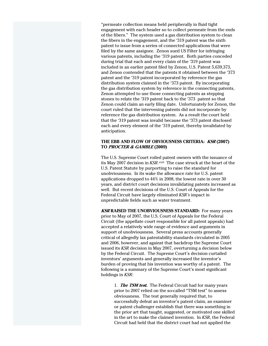"permeate collection means held peripherally in fluid tight engagement with each header so to collect permeate from the ends of the fibers." The system used a gas distribution system to clean the fibers in the engagement, and the '319 patent was the sixth patent to issue from a series of connected applications that were filed by the same assignee. Zenon sued US Filter for infringing various patents, including the '319 patent. Both parties conceded during trial that each and every claim of the '319 patent was included in an earlier patent filed by Zenon, U.S. Patent 5,639,373, and Zenon contended that the patents it obtained between the '373 patent and the '319 patent incorporated by reference the gas distribution system claimed in the '373 patent. By incorporating the gas distribution system by reference in the connecting patents, Zenon attempted to use those connecting patents as stepping stones to relate the '319 patent back to the '373 patent so that Zenon could claim an early filing date. Unfortunately for Zenon, the court ruled that the intervening patents did not incorporate by reference the gas distribution system. As a result the court held that the '319 patent was invalid because the '373 patent disclosed each and every element of the '319 patent, thereby invalidated by anticipation.

## **THE EBB AND FLOW OF OBVIOUSNESS CRITERIA: KSR (2007) TO PROCTER & GAMBLE (2009)**

The U.S. Supreme Court roiled patent owners with the issuance of its May 2007 decision in *KSR.xxiii* The case struck at the heart of the U.S. Patent Statute by purporting to raise the standard for unobviousness. In its wake the allowance rate for U.S. patent applications dropped to 44% in 2008, the lowest rate in over 30 years, and district court decisions invalidating patents increased as well. But recent decisions of the U.S. Court of Appeals for the Federal Circuit have largely eliminated *KSR's* impact in unpredictable fields such as water treatment.

**KSR RAISED THE UNOBVIOUSNESS STANDARD:** For many years prior to May of 2007, the U.S. Court of Appeals for the Federal Circuit (the appellate court responsible for all patent appeals) had accepted a relatively wide range of evidence and arguments in support of unobviousness. Several press accounts generally critical of allegedly lax patentability standards circulated in 2005 and 2006, however, and against that backdrop the Supreme Court issued its *KSR* decision in May 2007, overturning a decision below by the Federal Circuit. The Supreme Court's decision curtailed inventors' arguments and generally increased the inventor's burden of proving that his invention was worthy of a patent. The following is a summary of the Supreme Court's most significant holdings in *KSR*:

1. **The TSM test.** The Federal Circuit had for many years prior to 2007 relied on the so-called "TSM test" to assess obviousness. The test generally required that, to successfully defeat an inventor's patent claim, an examiner or patent challenger establish that there was something in the prior art that taught, suggested, or motivated one skilled in the art to make the claimed invention. In *KSR*, the Federal Circuit had held that the district court had not applied the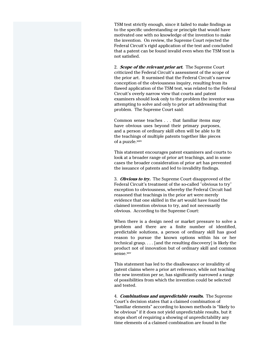TSM test strictly enough, since it failed to make findings as to the specific understanding or principle that would have motivated one with no knowledge of the invention to make the invention. On review, the Supreme Court rejected the Federal Circuit's rigid application of the test and concluded that a patent can be found invalid even when the TSM test is not satisfied.

2. **Scope of the relevant prior art.** The Supreme Court criticized the Federal Circuit's assessment of the scope of the prior art. It surmised that the Federal Circuit's narrow conception of the obviousness inquiry, resulting from its flawed application of the TSM test, was related to the Federal Circuit's overly narrow view that courts and patent examiners should look only to the problem the inventor was attempting to solve and only to prior art addressing that problem. The Supreme Court said:

Common sense teaches . . . that familiar items may have obvious uses beyond their primary purposes, and a person of ordinary skill often will be able to fit the teachings of multiple patents together like pieces of a puzzle.xxiv

This statement encourages patent examiners and courts to look at a broader range of prior art teachings, and in some cases the broader consideration of prior art has prevented the issuance of patents and led to invalidity findings.

3. **Obvious to try.** The Supreme Court disapproved of the Federal Circuit's treatment of the so-called "obvious to try" exception to obviousness, whereby the Federal Circuit had reasoned that teachings in the prior art were merely evidence that one skilled in the art would have found the claimed invention obvious to try, and not necessarily obvious. According to the Supreme Court:

When there is a design need or market pressure to solve a problem and there are a finite number of identified, predictable solutions, a person of ordinary skill has good reason to pursue the known options within his or her technical grasp. . . . [and the resulting discovery] is likely the product not of innovation but of ordinary skill and common sense.xxv

This statement has led to the disallowance or invalidity of patent claims where a prior art reference, while not teaching the new invention per se, has significantly narrowed a range of possibilities from which the invention could be selected and tested.

4. **Combinations and unpredictable results.** The Supreme Court's decision states that a claimed combination of "familiar elements" according to known methods is "likely to be obvious" if it does not yield unpredictable results, but it stops short of requiring a showing of unpredictability any time elements of a claimed combination are found in the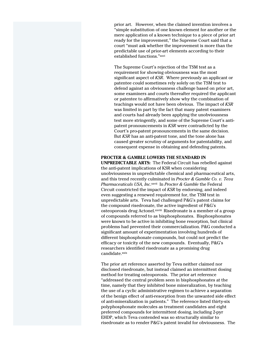prior art. However, when the claimed invention involves a "simple substitution of one known element for another or the mere application of a known technique to a piece of prior art ready for the improvement," the Supreme Court said that a court "must ask whether the improvement is more than the predictable use of prior-art elements according to their established functions."xxvi

The Supreme Court's rejection of the TSM test as a requirement for showing obviousness was the most significant aspect of *KSR*. Where previously an applicant or patentee could sometimes rely solely on the TSM test to defend against an obviousness challenge based on prior art, some examiners and courts thereafter required the applicant or patentee to affirmatively show why the combination of teachings would not have been obvious. The impact of *KSR* was limited in part by the fact that many patent examiners and courts had already been applying the unobviousness test more stringently, and some of the Supreme Court's antipatent pronouncements in *KSR* were contradicted by the Court's pro-patent pronouncements in the same decision. But *KSR* has an anti-patent tone, and the tone alone has caused greater scrutiny of arguments for patentability, and consequent expense in obtaining and defending patents.

# **PROCTER & GAMBLE LOWERS THE STANDARD IN**

**UNPREDICTABLE ARTS:** The Federal Circuit has rebelled against the anti-patent implications of KSR when considering unobviousness in unpredictable chemical and pharmaceutical arts, and this trend recently culminated in *Procter & Gamble Co. v. Teva Pharmaceuticals USA, Inc*. xxvii In *Procter & Gamble* the Federal Circuit constricted the impact of *KSR* by endorsing, and indeed even suggesting a renewed requirement for, the TSM test in unpredictable arts. Teva had challenged P&G's patent claims for the compound risedronate, the active ingredient of P&G's osteoporosis drug Actonel.xxviii Risedronate is a member of a group of compounds referred to as bisphosphonates. Bisphosphonates were known to be active in inhibiting bone resorption, but clinical problems had prevented their commercialization. P&G conducted a significant amount of experimentation involving hundreds of different bisphosphonate compounds, but could not predict the efficacy or toxicity of the new compounds. Eventually, P&G's researchers identified risedronate as a promising drug candidate.xxix

The prior art reference asserted by Teva neither claimed nor disclosed risedronate, but instead claimed an intermittent dosing method for treating osteoporosis. The prior art reference "addressed the central problem seen in bisphosphonates at the time, namely that they inhibited bone mineralization, by teaching the use of a cyclic administrative regimen to achieve a separation of the benign effect of anti-resorption from the unwanted side effect of anti-mineralization in patients." The reference listed thirty-six polyphosphonate molecules as treatment candidates and eight preferred compounds for intermittent dosing, including 2-pyr EHDP, which Teva contended was so structurally similar to risedronate as to render P&G's patent invalid for obviousness. The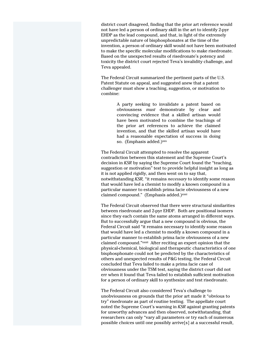district court disagreed, finding that the prior art reference would not have led a person of ordinary skill in the art to identify 2-pyr EHDP as the lead compound, and that, in light of the extremely unpredictable nature of bisphosphonates at the time of the invention, a person of ordinary skill would not have been motivated to make the specific molecular modifications to make risedronate. Based on the unexpected results of risedronate's potency and toxicity the district court rejected Teva's invalidity challenge, and Teva appealed.

The Federal Circuit summarized the pertinent parts of the U.S. Patent Statute on appeal, and suggested anew that a patent challenger must show a teaching, suggestion, or motivation to combine:

> A party seeking to invalidate a patent based on obviousness *must* demonstrate by clear and convincing evidence that a skilled artisan would have been motivated to combine the teachings of the prior art references to achieve the claimed invention, and that the skilled artisan would have had a reasonable expectation of success in doing so. (Emphasis added.)<sup>xxx</sup>

The Federal Circuit attempted to resolve the apparent contradiction between this statement and the Supreme Court's decision in *KSR* by saying the Supreme Court found the "teaching, suggestion or motivation" test to provide helpful insight as long as it is not applied rigidly, and then went on to say that, notwithstanding *KSR,* "it remains *necessary* to identify some reason that would have led a chemist to modify a known compound in a particular manner to establish prima facie obviousness of a new claimed compound." (Emphasis added.)xxxi

The Federal Circuit observed that there were structural similarities between risedronate and 2-pyr EHDP. Both are positional isomers since they each contain the same atoms arranged in different ways. But to successfully argue that a new compound is obvious, the Federal Circuit said "it remains necessary to identify some reason that would have led a chemist to modify a known compound in a particular manner to establish prima facie obviousness of a new claimed compound."xxxii After reciting an expert opinion that the physical-chemical, biological and therapeutic characteristics of one bisphosphonate could not be predicted by the characteristics of others and unexpected results of P&G testing, the Federal Circuit concluded that Teva failed to make a prima facie case of obviousness under the TSM test, saying the district court did not err when it found that Teva failed to establish sufficient motivation for a person of ordinary skill to synthesize and test risedronate.

The Federal Circuit also considered Teva's challenge to unobviousness on grounds that the prior art made it "obvious to try" risedronate as part of routine testing. The appellate court noted the Supreme Court's warning in *KSR* against granting patents for unworthy advances and then observed, notwithstanding, that researchers can only "vary all parameters or try each of numerous possible choices until one possibly arrive[s] at a successful result,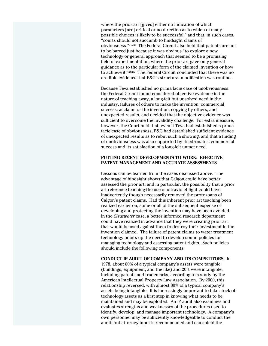where the prior art [gives] either no indication of which parameters [are] critical or no direction as to which of many possible choices is likely to be successful," and that, in such cases, "courts should not succumb to hindsight claims of obviousness."xxxiii The Federal Circuit also held that patents are not to be barred just because it was obvious "to explore a new technology or general approach that seemed to be a promising field of experimentation, where the prior art gave only general guidance as to the particular form of the claimed invention or how to achieve it."xxxiv The Federal Circuit concluded that there was no credible evidence that P&G's structural modification was routine.

Because Teva established no prima facie case of unobviousness, the Federal Circuit found considered objective evidence in the nature of teaching away, a long-felt but unsolved need in the industry, failures of others to make the invention, commercial success, acclaim for the invention, copying by others, and unexpected results, and decided that the objective evidence was sufficient to overcome the invalidity challenge. For extra measure, however, the Court held that, even if Teva had established a prima facie case of obviousness, P&G had established sufficient evidence of unexpected results as to rebut such a showing, and that a finding of unobviousness was also supported by risedronate's commercial success and its satisfaction of a long-felt unmet need.

#### **PUTTING RECENT DEVELOPMENTS TO WORK: EFFECTIVE PATENT MANAGEMENT AND ACCURATE ASSESSMENTS**

Lessons can be learned from the cases discussed above. The advantage of hindsight shows that Calgon could have better assessed the prior art, and in particular, the possibility that a prior art reference teaching the use of ultraviolet light could have inadvertently though necessarily removed the protozoans of Calgon's patent claims. Had this inherent prior art teaching been realized earlier on, some or all of the subsequent expense of developing and protecting the invention may have been avoided. In the *Clearwater* case, a better informed research department could have realized in advance that they were creating prior art that would be used against them to destroy their investment in the invention claimed. The failure of patent claims to water treatment technology points up the need to develop sound policies for managing technology and assessing patent rights. Such policies should include the following components:

#### **CONDUCT IP AUDIT OF COMPANY AND ITS COMPETITORS**: In

1978, about 80% of a typical company's assets were tangible (buildings, equipment, and the like) and 20% were intangible, including patents and trademarks, according to a study by the American Intellectual Property Law Association. By 2000, this relationship reversed, with almost 80% of a typical company's assets being intangible. It is increasingly important to take stock of technology assets as a first step in knowing what needs to be maintained and may be exploited. An IP audit also examines and evaluates strengths and weaknesses of the procedures used to identify, develop, and manage important technology. A company's own personnel may be sufficiently knowledgeable to conduct the audit, but attorney input is recommended and can shield the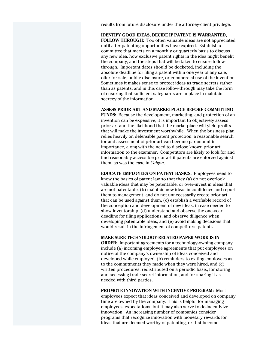results from future disclosure under the attorney-client privilege.

**IDENTIFY GOOD IDEAS, DECIDE IF PATENT IS WARRANTED, FOLLOW THROUGH:** Too often valuable ideas are not appreciated until after patenting opportunities have expired. Establish a committee that meets on a monthly or quarterly basis to discuss any new idea, how exclusive patent rights in the idea might benefit the company, and the steps that will be taken to ensure followthrough. Important dates should be docketed, including the absolute deadline for filing a patent within one year of any sale, offer for sale, public disclosure, or commercial use of the invention. Sometimes it makes sense to protect ideas as trade secrets rather than as patents, and in this case follow-through may take the form of ensuring that sufficient safeguards are in place in maintain secrecy of the information.

#### **ASSESS PRIOR ART AND MARKETPLACE BEFORE COMMITTING**

**FUNDS:** Because the development, marketing, and protection of an invention can be expensive, it is important to objectively assess prior art and the likelihood that the marketplace will yield profits that will make the investment worthwhile. When the business plan relies heavily on defensible patent protection, a reasonable search for and assessment of prior art can become paramount in importance, along with the need to disclose known prior art information to the examiner. Competitors are likely to look for and find reasonably accessible prior art if patents are enforced against them, as was the case in *Calgon*.

**EDUCATE EMPLOYEES ON PATENT BASICS:** Employees need to know the basics of patent law so that they (a) do not overlook valuable ideas that may be patentable, or over-invest in ideas that are not patentable, (b) maintain new ideas in confidence and report them to management, and do not unnecessarily create prior art that can be used against them**,** (c) establish a verifiable record of the conception and development of new ideas, in case needed to show inventorship, (d) understand and observe the one-year deadline for filing applications, and observe diligence when developing patentable ideas, and (e) avoid making decisions that would result in the infringement of competitors' patents.

#### **MAKE SURE TECHNOLOGY-RELATED PAPER WORK IS IN**

**ORDER:** Important agreements for a technology-owning company include (a) incoming employee agreements that put employees on notice of the company's ownership of ideas conceived and developed while employed, (b) reminders to exiting employees as to the commitments they made when they were hired, and (c) written procedures, redistributed on a periodic basis, for storing and accessing trade secret information, and for sharing it as needed with third parties.

**PROMOTE INNOVATION WITH INCENTIVE PROGRAM:** Most employees expect that ideas conceived and developed on company time are owned by the company. This is helpful for managing employees' expectations, but it may also serve to de-incentivize innovation. An increasing number of companies consider programs that recognize innovation with monetary rewards for ideas that are deemed worthy of patenting, or that become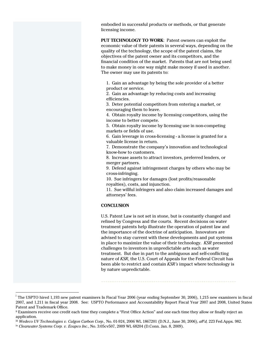embodied in successful products or methods, or that generate licensing income.

**PUT TECHNOLOGY TO WORK**: Patent owners can exploit the economic value of their patents in several ways, depending on the quality of the technology, the scope of the patent claims, the objectives of the patent owner and its competitors, and the financial condition of the market. Patents that are not being used to make money in one way might make money if used in another. The owner may use its patents to:

1. Gain an advantage by being the sole provider of a better product or service.

2. Gain an advantage by reducing costs and increasing efficiencies.

3. Deter potential competitors from entering a market, or encouraging them to leave.

4. Obtain royalty income by licensing competitors, using the income to better compete.

5. Obtain royalty income by licensing use in non-competing markets or fields of use.

6. Gain leverage in cross-licensing - a license is granted for a valuable license in return.

7. Demonstrate the company's innovation and technological know-how to customers.

8. Increase assets to attract investors, preferred lenders, or merger partners.

9. Defend against infringement charges by others who may be cross-infringing.

10. Sue infringers for damages (lost profits/reasonable royalties), costs, and injunction.

11. Sue willful infringers and also claim increased damages and attorneys' fees.

#### **CONCLUSION**

U.S. Patent Law is not set in stone, but is constantly changed and refined by Congress and the courts. Recent decisions on water treatment patents help illustrate the operation of patent law and the importance of the doctrine of anticipation. Innovators are advised to stay current with these developments and put systems in place to maximize the value of their technology. *KSR* presented challenges to inventors in unpredictable arts such as water treatment. But due in part to the ambiguous and self-conflicting nature of *KSR*, the U.S. Court of Appeals for the Federal Circuit has been able to restrict and contain *KSR's* impact where technology is by nature unpredictable.

 $\overline{a}$ 

<sup>&</sup>lt;sup>i</sup> The USPTO hired 1,193 new patent examiners In Fiscal Year 2006 (year ending September 30, 2006), 1,215 new examiners in fiscal 2007, and 1,211 in fiscal year 2008. See: USPTO Performance and Accountability Report Fiscal Year 2007 and 2008, United States Patent and Trademark Office.

ii Examiners receive one credit each time they complete a "First Office Action" and one each time they allow or finally reject an application.

<sup>&</sup>lt;sup>iii</sup> Wedeco UV Technologies v. Calgon Carbon Corp., No. 01-924, 2006 WL 1867201 (D.N.J., June 30, 2006), aff'd, 223 Fed.Appx. 982.<br><sup>iv</sup> Clearwater Systems Corp. v. Evapco Inc., No. 3:05cv507, 2009 WL 68204 (D.Conn. Jan. 8